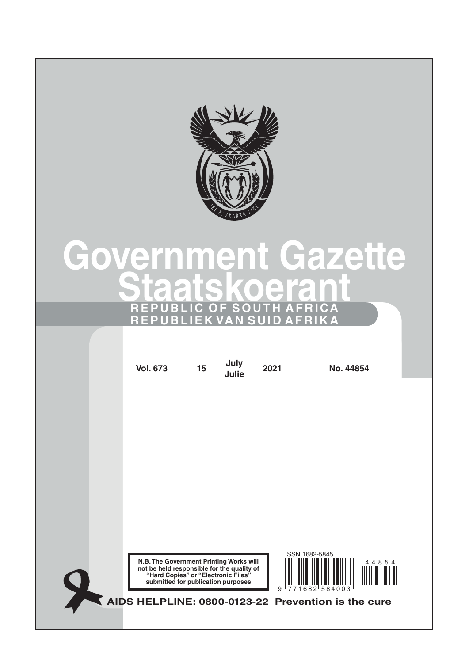

# **Government Gazette Staatskoerant REPUBLIC OF SOUTH AFRICA REPUBLIEK VAN SUID AFRIKA**

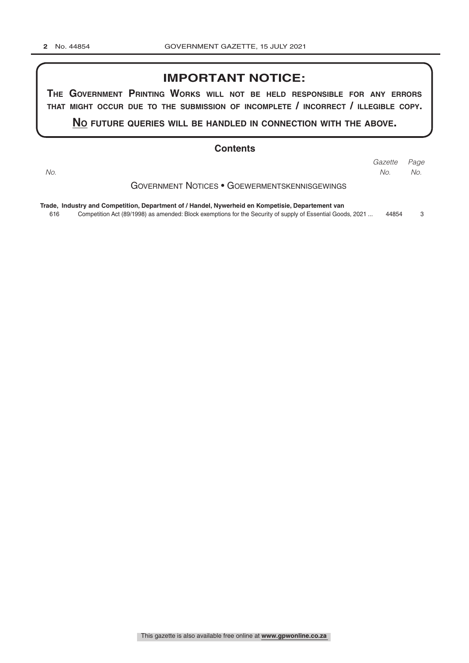# **IMPORTANT NOTICE:**

**The GovernmenT PrinTinG Works Will noT be held resPonsible for any errors ThaT miGhT occur due To The submission of incomPleTe / incorrecT / illeGible coPy.**

**no fuTure queries Will be handled in connecTion WiTh The above.**

#### **Contents**

*Page Gazette No. No. No.*

Government Notices • Goewermentskennisgewings

**Trade, Industry and Competition, Department of / Handel, Nywerheid en Kompetisie, Departement van**

616 Competition Act (89/1998) as amended: Block exemptions for the Security of supply of Essential Goods, 2021 ... 44854 3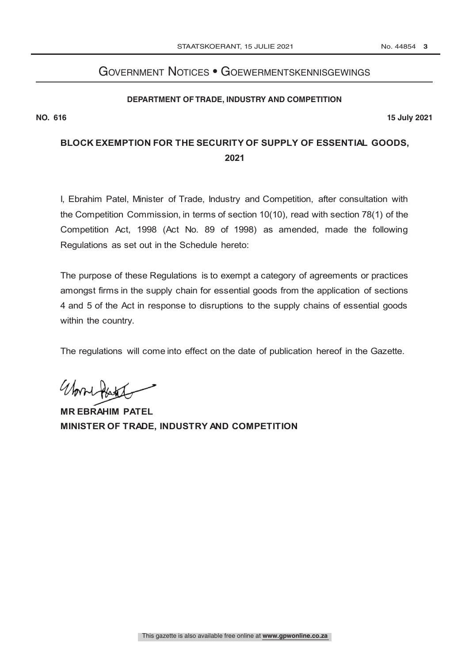# Government Notices • Goewermentskennisgewings **DEPARTMENT OF TRADE, INDUSTRY AND COMPETITION**

#### **DEPARTMENT OF TRADE, INDUSTRY AND COMPETITION**

**NO. R**

**NO. 616 15 July 2021**

# **BLOCK EXEMPTION FOR THE SECURITY OF SUPPLY OF ESSENTIAL GOODS, 2021**

I, Ebrahim Patel, Minister of Trade, Industry and Competition, after consultation with the Competition Commission, in terms of section 10(10), read with section 78(1) of the Competition Act, 1998 (Act No. 89 of 1998) as amended, made the following Regulations as set out in the Schedule hereto:

The purpose of these Regulations is to exempt a category of agreements or practices amongst firms in the supply chain for essential goods from the application of sections 4 and 5 of the Act in response to disruptions to the supply chains of essential goods within the country.

The regulations will come into effect on the date of publication hereof in the Gazette.

Work Ash

**MR EBRAHIM PATEL MINISTER OF TRADE, INDUSTRY AND COMPETITION**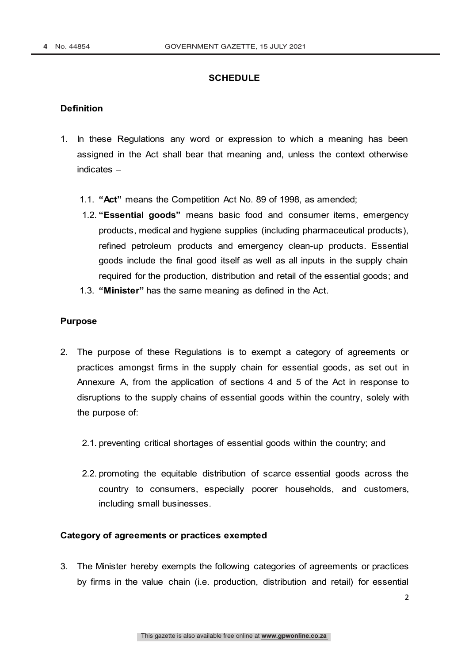### **SCHEDULE**

#### **Definition**

- 1. In these Regulations any word or expression to which a meaning has been assigned in the Act shall bear that meaning and, unless the context otherwise indicates –
	- 1.1. **"Act"** means the Competition Act No. 89 of 1998, as amended;
	- 1.2. **"Essential goods"** means basic food and consumer items, emergency products, medical and hygiene supplies (including pharmaceutical products), refined petroleum products and emergency clean-up products. Essential goods include the final good itself as well as all inputs in the supply chain required for the production, distribution and retail of the essential goods; and
	- 1.3. **"Minister"** has the same meaning as defined in the Act.

#### **Purpose**

- 2. The purpose of these Regulations is to exempt a category of agreements or practices amongst firms in the supply chain for essential goods, as set out in Annexure A, from the application of sections 4 and 5 of the Act in response to disruptions to the supply chains of essential goods within the country, solely with the purpose of:
	- 2.1. preventing critical shortages of essential goods within the country; and
	- 2.2. promoting the equitable distribution of scarce essential goods across the country to consumers, especially poorer households, and customers, including small businesses.

#### **Category of agreements or practices exempted**

3. The Minister hereby exempts the following categories of agreements or practices by firms in the value chain (i.e. production, distribution and retail) for essential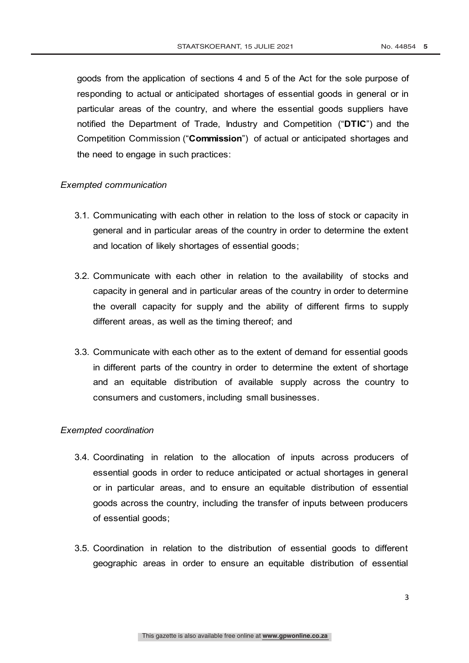goods from the application of sections 4 and 5 of the Act for the sole purpose of responding to actual or anticipated shortages of essential goods in general or in particular areas of the country, and where the essential goods suppliers have notified the Department of Trade, Industry and Competition ("**DTIC**") and the Competition Commission ("**Commission**") of actual or anticipated shortages and the need to engage in such practices:

#### *Exempted communication*

- 3.1. Communicating with each other in relation to the loss of stock or capacity in general and in particular areas of the country in order to determine the extent and location of likely shortages of essential goods;
- 3.2. Communicate with each other in relation to the availability of stocks and capacity in general and in particular areas of the country in order to determine the overall capacity for supply and the ability of different firms to supply different areas, as well as the timing thereof; and
- 3.3. Communicate with each other as to the extent of demand for essential goods in different parts of the country in order to determine the extent of shortage and an equitable distribution of available supply across the country to consumers and customers, including small businesses.

#### *Exempted coordination*

- 3.4. Coordinating in relation to the allocation of inputs across producers of essential goods in order to reduce anticipated or actual shortages in general or in particular areas, and to ensure an equitable distribution of essential goods across the country, including the transfer of inputs between producers of essential goods;
- 3.5. Coordination in relation to the distribution of essential goods to different geographic areas in order to ensure an equitable distribution of essential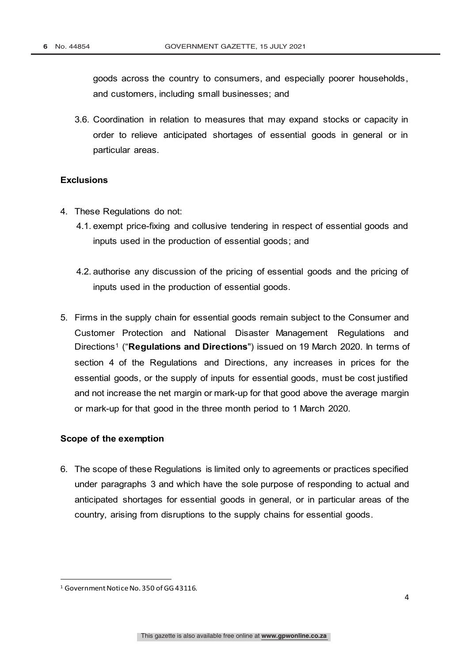goods across the country to consumers, and especially poorer households, and customers, including small businesses; and

3.6. Coordination in relation to measures that may expand stocks or capacity in order to relieve anticipated shortages of essential goods in general or in particular areas.

## **Exclusions**

- 4. These Regulations do not:
	- 4.1. exempt price-fixing and collusive tendering in respect of essential goods and inputs used in the production of essential goods; and
	- 4.2. authorise any discussion of the pricing of essential goods and the pricing of inputs used in the production of essential goods.
- 5. Firms in the supply chain for essential goods remain subject to the Consumer and Customer Protection and National Disaster Management Regulations and Directions1 ("**Regulations and Directions**") issued on 19 March 2020. In terms of section 4 of the Regulations and Directions, any increases in prices for the essential goods, or the supply of inputs for essential goods, must be cost justified and not increase the net margin or mark-up for that good above the average margin or mark-up for that good in the three month period to 1 March 2020.

#### **Scope of the exemption**

6. The scope of these Regulations is limited only to agreements or practices specified under paragraphs 3 and which have the sole purpose of responding to actual and anticipated shortages for essential goods in general, or in particular areas of the country, arising from disruptions to the supply chains for essential goods.

<sup>&</sup>lt;sup>1</sup> Government Notice No. 350 of GG 43116.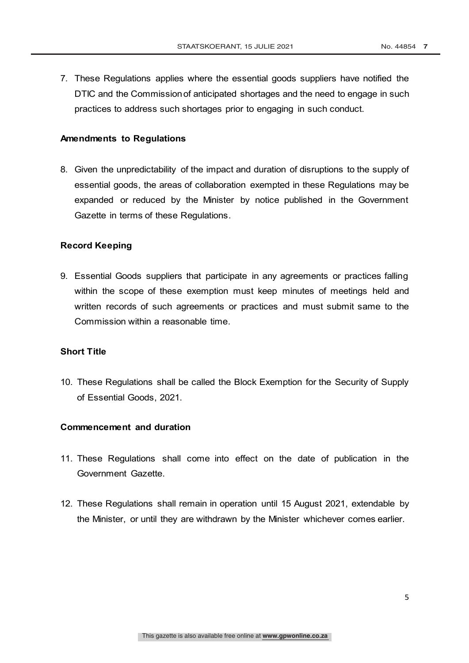7. These Regulations applies where the essential goods suppliers have notified the DTIC and the Commissionof anticipated shortages and the need to engage in such practices to address such shortages prior to engaging in such conduct.

#### **Amendments to Regulations**

8. Given the unpredictability of the impact and duration of disruptions to the supply of essential goods, the areas of collaboration exempted in these Regulations may be expanded or reduced by the Minister by notice published in the Government Gazette in terms of these Regulations.

#### **Record Keeping**

9. Essential Goods suppliers that participate in any agreements or practices falling within the scope of these exemption must keep minutes of meetings held and written records of such agreements or practices and must submit same to the Commission within a reasonable time.

#### **Short Title**

10. These Regulations shall be called the Block Exemption for the Security of Supply of Essential Goods, 2021.

#### **Commencement and duration**

- 11. These Regulations shall come into effect on the date of publication in the Government Gazette.
- 12. These Regulations shall remain in operation until 15 August 2021, extendable by the Minister, or until they are withdrawn by the Minister whichever comes earlier.